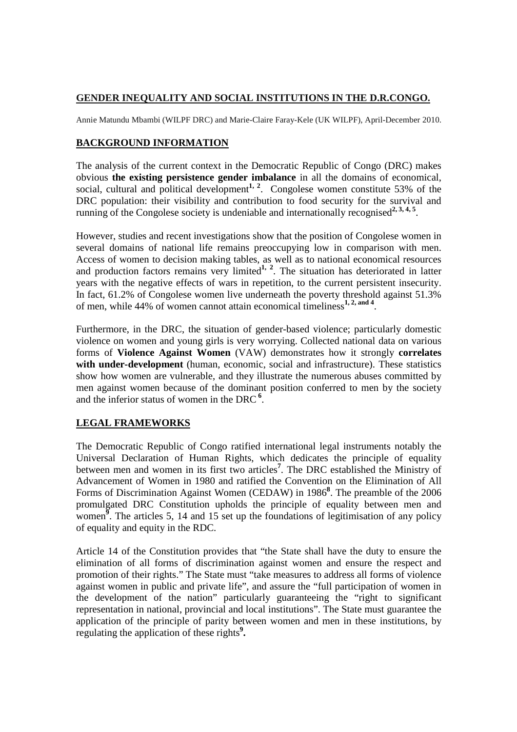## **GENDER INEQUALITY AND SOCIAL INSTITUTIONS IN THE D.R.CONGO.**

Annie Matundu Mbambi (WILPF DRC) and Marie-Claire Faray-Kele (UK WILPF), April-December 2010.

## **BACKGROUND INFORMATION**

The analysis of the current context in the Democratic Republic of Congo (DRC) makes obvious **the existing persistence gender imbalance** in all the domains of economical, social, cultural and political development<sup>1, 2</sup>. Congolese women constitute 53% of the DRC population: their visibility and contribution to food security for the survival and running of the Congolese society is undeniable and internationally recognised<sup>2, 3, 4, 5</sup>.

However, studies and recent investigations show that the position of Congolese women in several domains of national life remains preoccupying low in comparison with men. Access of women to decision making tables, as well as to national economical resources and production factors remains very limited<sup>1, 2</sup>. The situation has deteriorated in latter years with the negative effects of wars in repetition, to the current persistent insecurity. In fact, 61.2% of Congolese women live underneath the poverty threshold against 51.3% of men, while 44% of women cannot attain economical timeliness**1, 2, and 4** .

Furthermore, in the DRC, the situation of gender-based violence; particularly domestic violence on women and young girls is very worrying. Collected national data on various forms of **Violence Against Women** (VAW) demonstrates how it strongly **correlates with under-development** (human, economic, social and infrastructure). These statistics show how women are vulnerable, and they illustrate the numerous abuses committed by men against women because of the dominant position conferred to men by the society and the inferior status of women in the DRC**<sup>6</sup>** .

## **LEGAL FRAMEWORKS**

The Democratic Republic of Congo ratified international legal instruments notably the Universal Declaration of Human Rights, which dedicates the principle of equality between men and women in its first two articles**<sup>7</sup>** . The DRC established the Ministry of Advancement of Women in 1980 and ratified the Convention on the Elimination of All Forms of Discrimination Against Women (CEDAW) in 1986<sup>8</sup>. The preamble of the 2006 promulgated DRC Constitution upholds the principle of equality between men and women<sup>9</sup>. The articles 5, 14 and 15 set up the foundations of legitimisation of any policy of equality and equity in the RDC.

Article 14 of the Constitution provides that "the State shall have the duty to ensure the elimination of all forms of discrimination against women and ensure the respect and promotion of their rights." The State must "take measures to address all forms of violence against women in public and private life", and assure the "full participation of women in the development of the nation" particularly guaranteeing the "right to significant representation in national, provincial and local institutions". The State must guarantee the application of the principle of parity between women and men in these institutions, by regulating the application of these rights**<sup>9</sup> .**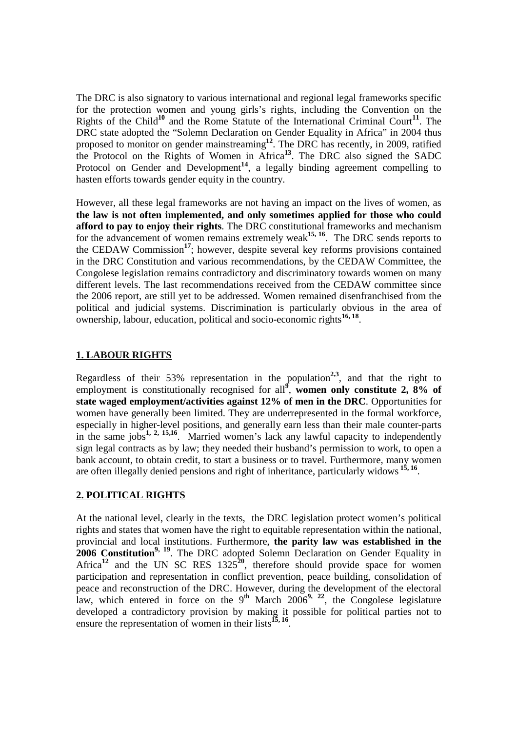The DRC is also signatory to various international and regional legal frameworks specific for the protection women and young girls's rights, including the Convention on the Rights of the Child**<sup>10</sup>** and the Rome Statute of the International Criminal Court**<sup>11</sup>**. The DRC state adopted the "Solemn Declaration on Gender Equality in Africa" in 2004 thus proposed to monitor on gender mainstreaming**<sup>12</sup>** . The DRC has recently, in 2009, ratified the Protocol on the Rights of Women in Africa**<sup>13</sup>**. The DRC also signed the SADC Protocol on Gender and Development<sup>14</sup>, a legally binding agreement compelling to hasten efforts towards gender equity in the country.

However, all these legal frameworks are not having an impact on the lives of women, as **the law is not often implemented, and only sometimes applied for those who could afford to pay to enjoy their rights**. The DRC constitutional frameworks and mechanism for the advancement of women remains extremely weak<sup>15, 16</sup>. The DRC sends reports to the CEDAW Commission**<sup>17</sup>**; however, despite several key reforms provisions contained in the DRC Constitution and various recommendations, by the CEDAW Committee, the Congolese legislation remains contradictory and discriminatory towards women on many different levels. The last recommendations received from the CEDAW committee since the 2006 report, are still yet to be addressed. Women remained disenfranchised from the political and judicial systems. Discrimination is particularly obvious in the area of ownership, labour, education, political and socio-economic rights**16, 18** .

## **1. LABOUR RIGHTS**

Regardless of their 53% representation in the population**2,3**, and that the right to employment is constitutionally recognised for all<sup>9</sup>, women only constitute 2, 8% of **state waged employment/activities against 12% of men in the DRC**. Opportunities for women have generally been limited. They are underrepresented in the formal workforce, especially in higher-level positions, and generally earn less than their male counter-parts in the same jobs**1, 2, 15,16** .Married women's lack any lawful capacity to independently sign legal contracts as by law; they needed their husband's permission to work, to open a bank account, to obtain credit, to start a business or to travel. Furthermore, many women are often illegally denied pensions and right of inheritance, particularly widows **15, 16** .

#### **2. POLITICAL RIGHTS**

At the national level, clearly in the texts, the DRC legislation protect women's political rights and states that women have the right to equitable representation within the national, provincial and local institutions. Furthermore, **the parity law was established in the 2006 Constitution<sup>9, 19</sup>.** The DRC adopted Solemn Declaration on Gender Equality in Africa<sup>12</sup> and the UN SC RES  $1325^{20}$ , therefore should provide space for women participation and representation in conflict prevention, peace building, consolidation of peace and reconstruction of the DRC. However, during the development of the electoral law, which entered in force on the  $9<sup>th</sup>$  March 2006<sup>9, 22</sup>, the Congolese legislature developed a contradictory provision by making it possible for political parties not to ensure the representation of women in their lists<sup>15, 16</sup>.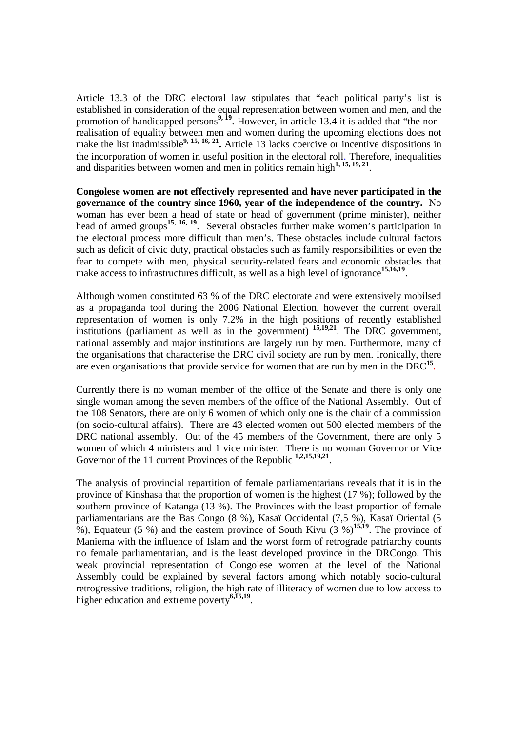Article 13.3 of the DRC electoral law stipulates that "each political party's list is established in consideration of the equal representation between women and men, and the promotion of handicapped persons<sup>9, 19</sup>. However, in article 13.4 it is added that "the nonrealisation of equality between men and women during the upcoming elections does not make the list inadmissible<sup>9, 15, 16, 21</sub>. Article 13 lacks coercive or incentive dispositions in</sup> the incorporation of women in useful position in the electoral roll. Therefore, inequalities and disparities between women and men in politics remain high<sup>1, 15, 19, 21</sup>.

**Congolese women are not effectively represented and have never participated in the governance of the country since 1960, year of the independence of the country.** No woman has ever been a head of state or head of government (prime minister), neither head of armed groups**15, 16, 19** . Several obstacles further make women's participation in the electoral process more difficult than men's. These obstacles include cultural factors such as deficit of civic duty, practical obstacles such as family responsibilities or even the fear to compete with men, physical security-related fears and economic obstacles that make access to infrastructures difficult, as well as a high level of ignorance<sup>15,16,19</sup>.

Although women constituted 63 % of the DRC electorate and were extensively mobilsed as a propaganda tool during the 2006 National Election, however the current overall representation of women is only 7.2% in the high positions of recently established institutions (parliament as well as in the government) **15,19,21**. The DRC government, national assembly and major institutions are largely run by men. Furthermore, many of the organisations that characterise the DRC civil society are run by men. Ironically, there are even organisations that provide service for women that are run by men in the DRC**<sup>15</sup>** .

Currently there is no woman member of the office of the Senate and there is only one single woman among the seven members of the office of the National Assembly. Out of the 108 Senators, there are only 6 women of which only one is the chair of a commission (on socio-cultural affairs). There are 43 elected women out 500 elected members of the DRC national assembly. Out of the 45 members of the Government, there are only 5 women of which 4 ministers and 1 vice minister. There is no woman Governor or Vice Governor of the 11 current Provinces of the Republic <sup>1,2,15,19,21</sup>.

The analysis of provincial repartition of female parliamentarians reveals that it is in the province of Kinshasa that the proportion of women is the highest (17 %); followed by the southern province of Katanga (13 %). The Provinces with the least proportion of female parliamentarians are the Bas Congo (8 %), Kasaï Occidental (7,5 %), Kasaï Oriental (5 %), Equateur (5 %) and the eastern province of South Kivu  $(3\%)^{15,19}$ . The province of Maniema with the influence of Islam and the worst form of retrograde patriarchy counts no female parliamentarian, and is the least developed province in the DRCongo. This weak provincial representation of Congolese women at the level of the National Assembly could be explained by several factors among which notably socio-cultural retrogressive traditions, religion, the high rate of illiteracy of women due to low access to higher education and extreme poverty**6,15,19** .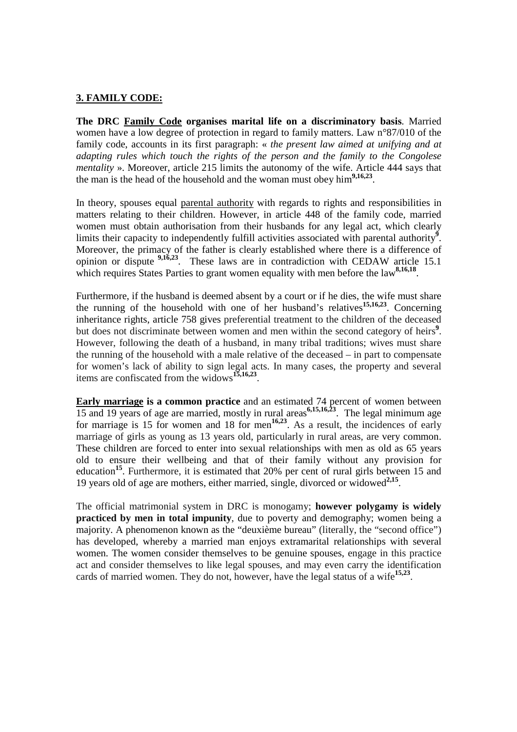#### **3. FAMILY CODE:**

**The DRC Family Code organises marital life on a discriminatory basis**. Married women have a low degree of protection in regard to family matters. Law n°87/010 of the family code, accounts in its first paragraph: « *the present law aimed at unifying and at adapting rules which touch the rights of the person and the family to the Congolese mentality* ». Moreover, article 215 limits the autonomy of the wife. Article 444 says that the man is the head of the household and the woman must obey him**9,16,23** .

In theory, spouses equal parental authority with regards to rights and responsibilities in matters relating to their children. However, in article 448 of the family code, married women must obtain authorisation from their husbands for any legal act, which clearly limits their capacity to independently fulfill activities associated with parental authority<sup>9</sup>. Moreover, the primacy of the father is clearly established where there is a difference of opinion or dispute **9,16,23**. These laws are in contradiction with CEDAW article 15.1 which requires States Parties to grant women equality with men before the law<sup>8,16,18</sup>.

Furthermore, if the husband is deemed absent by a court or if he dies, the wife must share the running of the household with one of her husband's relatives**15,16,23**. Concerning inheritance rights, article 758 gives preferential treatment to the children of the deceased but does not discriminate between women and men within the second category of heirs<sup>9</sup>. However, following the death of a husband, in many tribal traditions; wives must share the running of the household with a male relative of the deceased – in part to compensate for women's lack of ability to sign legal acts. In many cases, the property and several items are confiscated from the widows**15,16,23** .

**Early marriage is a common practice** and an estimated 74 percent of women between 15 and 19 years of age are married, mostly in rural areas **6,15,16,23** . The legal minimum age for marriage is 15 for women and 18 for men<sup>16,23</sup>. As a result, the incidences of early marriage of girls as young as 13 years old, particularly in rural areas, are very common. These children are forced to enter into sexual relationships with men as old as 65 years old to ensure their wellbeing and that of their family without any provision for education<sup>15</sup>. Furthermore, it is estimated that 20% per cent of rural girls between 15 and 19 years old of age are mothers, either married, single, divorced or widowed**2,15** .

The official matrimonial system in DRC is monogamy; **however polygamy is widely practiced by men in total impunity**, due to poverty and demography; women being a majority. A phenomenon known as the "deuxième bureau" (literally, the "second office") has developed, whereby a married man enjoys extramarital relationships with several women. The women consider themselves to be genuine spouses, engage in this practice act and consider themselves to like legal spouses, and may even carry the identification cards of married women. They do not, however, have the legal status of a wife<sup>15,23</sup>.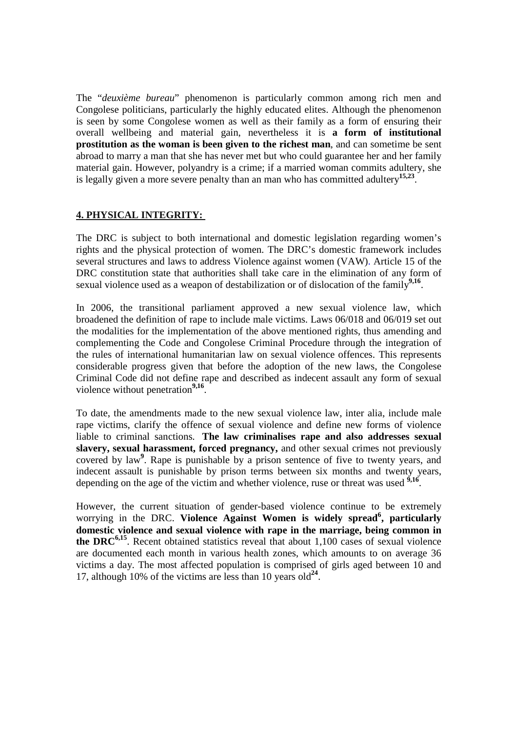The "*deuxième bureau*" phenomenon is particularly common among rich men and Congolese politicians, particularly the highly educated elites. Although the phenomenon is seen by some Congolese women as well as their family as a form of ensuring their overall wellbeing and material gain, nevertheless it is **a form of institutional prostitution as the woman is been given to the richest man**, and can sometime be sent abroad to marry a man that she has never met but who could guarantee her and her family material gain. However, polyandry is a crime; if a married woman commits adultery, she is legally given a more severe penalty than an man who has committed adultery**15,23** .

## **4. PHYSICAL INTEGRITY:**

The DRC is subject to both international and domestic legislation regarding women's rights and the physical protection of women. The DRC's domestic framework includes several structures and laws to address Violence against women (VAW). Article 15 of the DRC constitution state that authorities shall take care in the elimination of any form of sexual violence used as a weapon of destabilization or of dislocation of the family<sup>9,16</sup>.

In 2006, the transitional parliament approved a new sexual violence law, which broadened the definition of rape to include male victims. Laws 06/018 and 06/019 set out the modalities for the implementation of the above mentioned rights, thus amending and complementing the Code and Congolese Criminal Procedure through the integration of the rules of international humanitarian law on sexual violence offences. This represents considerable progress given that before the adoption of the new laws, the Congolese Criminal Code did not define rape and described as indecent assault any form of sexual violence without penetration<sup>9,16</sup>.

To date, the amendments made to the new sexual violence law, inter alia, include male rape victims, clarify the offence of sexual violence and define new forms of violence liable to criminal sanctions. **The law criminalises rape and also addresses sexual slavery, sexual harassment, forced pregnancy,** and other sexual crimes not previously covered by law<sup>9</sup>. Rape is punishable by a prison sentence of five to twenty years, and indecent assault is punishable by prison terms between six months and twenty years, depending on the age of the victim and whether violence, ruse or threat was used <sup>9,16</sup>.

However, the current situation of gender-based violence continue to be extremely worrying in the DRC. **Violence Against Women is widely spread<sup>6</sup> , particularly domestic violence and sexual violence with rape in the marriage, being common in the DRC6,15** . Recent obtained statistics reveal that about 1,100 cases of sexual violence are documented each month in various health zones, which amounts to on average 36 victims a day. The most affected population is comprised of girls aged between 10 and 17, although 10% of the victims are less than 10 years old<sup>24</sup>.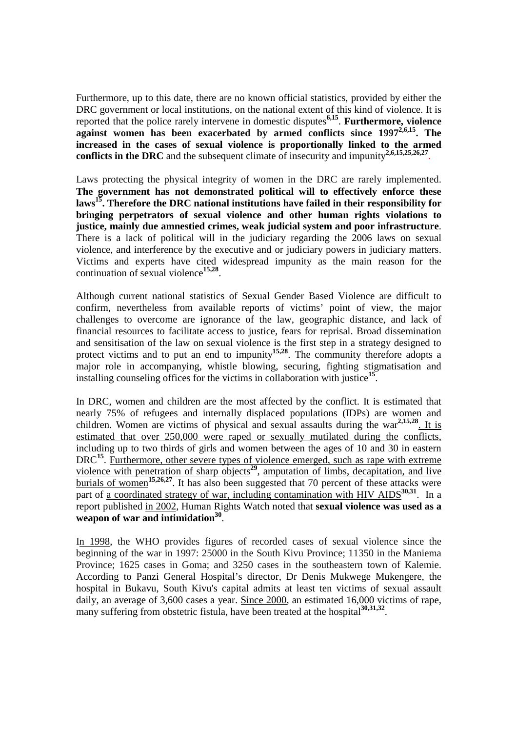Furthermore, up to this date, there are no known official statistics, provided by either the DRC government or local institutions, on the national extent of this kind of violence. It is reported that the police rarely intervene in domestic disputes**6,15** . **Furthermore, violence against women has been exacerbated by armed conflicts since 19972,6,15 . The increased in the cases of sexual violence is proportionally linked to the armed**  conflicts in the DRC and the subsequent climate of insecurity and impunity<sup>2,6,15,25,26,27</sup>.

Laws protecting the physical integrity of women in the DRC are rarely implemented. **The government has not demonstrated political will to effectively enforce these laws<sup>15</sup>. Therefore the DRC national institutions have failed in their responsibility for bringing perpetrators of sexual violence and other human rights violations to justice, mainly due amnestied crimes, weak judicial system and poor infrastructure**. There is a lack of political will in the judiciary regarding the 2006 laws on sexual violence, and interference by the executive and or judiciary powers in judiciary matters. Victims and experts have cited widespread impunity as the main reason for the continuation of sexual violence**15,28** .

Although current national statistics of Sexual Gender Based Violence are difficult to confirm, nevertheless from available reports of victims' point of view, the major challenges to overcome are ignorance of the law, geographic distance, and lack of financial resources to facilitate access to justice, fears for reprisal. Broad dissemination and sensitisation of the law on sexual violence is the first step in a strategy designed to protect victims and to put an end to impunity<sup>15,28</sup>. The community therefore adopts a major role in accompanying, whistle blowing, securing, fighting stigmatisation and installing counseling offices for the victims in collaboration with justice**<sup>15</sup>** .

In DRC, women and children are the most affected by the conflict. It is estimated that nearly 75% of refugees and internally displaced populations (IDPs) are women and children. Women are victims of physical and sexual assaults during the war**2,15,28**. It is estimated that over 250,000 were raped or sexually mutilated during the conflicts, including up to two thirds of girls and women between the ages of 10 and 30 in eastern DRC<sup>15</sup>. Furthermore, other severe types of violence emerged, such as rape with extreme violence with penetration of sharp objects<sup>29</sup>, amputation of limbs, decapitation, and live burials of women<sup>15,26,27</sup>. It has also been suggested that 70 percent of these attacks were part of a coordinated strategy of war, including contamination with HIV AIDS<sup>30,31</sup>. In a report published in 2002, Human Rights Watch noted that **sexual violence was used as a weapon of war and intimidation<sup>30</sup>** .

In 1998, the WHO provides figures of recorded cases of sexual violence since the beginning of the war in 1997: 25000 in the South Kivu Province; 11350 in the Maniema Province; 1625 cases in Goma; and 3250 cases in the southeastern town of Kalemie. According to Panzi General Hospital's director, Dr Denis Mukwege Mukengere, the hospital in Bukavu, South Kivu's capital admits at least ten victims of sexual assault daily, an average of 3,600 cases a year. Since 2000, an estimated 16,000 victims of rape, many suffering from obstetric fistula, have been treated at the hospital<sup>30,31,32</sup>.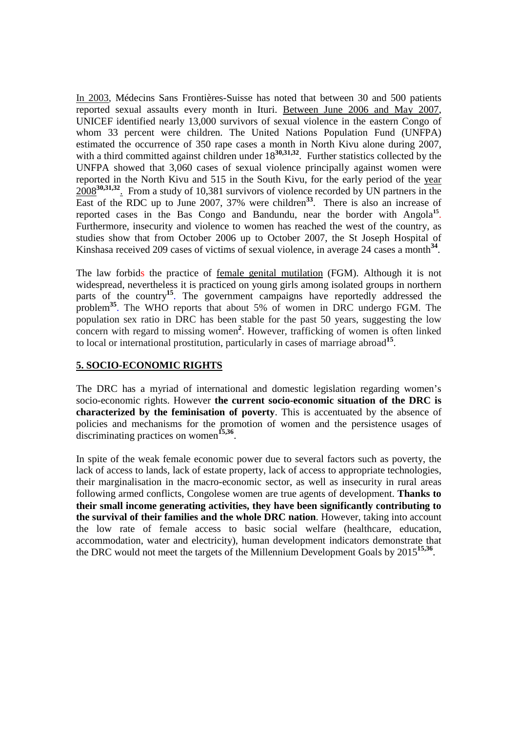In 2003, Médecins Sans Frontières-Suisse has noted that between 30 and 500 patients reported sexual assaults every month in Ituri. Between June 2006 and May 2007, UNICEF identified nearly 13,000 survivors of sexual violence in the eastern Congo of whom 33 percent were children. The United Nations Population Fund (UNFPA) estimated the occurrence of 350 rape cases a month in North Kivu alone during 2007, with a third committed against children under  $18^{30,31,32}$ . Further statistics collected by the UNFPA showed that 3,060 cases of sexual violence principally against women were reported in the North Kivu and 515 in the South Kivu, for the early period of the year 2008<sup>30,31,32</sup>. From a study of 10,381 survivors of violence recorded by UN partners in the East of the RDC up to June 2007, 37% were children<sup>33</sup>. There is also an increase of reported cases in the Bas Congo and Bandundu, near the border with Angola<sup>15</sup>. Furthermore, insecurity and violence to women has reached the west of the country, as studies show that from October 2006 up to October 2007, the St Joseph Hospital of Kinshasa received 209 cases of victims of sexual violence, in average 24 cases a month<sup>34</sup>.

The law forbids the practice of female genital mutilation (FGM). Although it is not widespread, nevertheless it is practiced on young girls among isolated groups in northern parts of the country<sup>15</sup>. The government campaigns have reportedly addressed the problem<sup>35</sup>. The WHO reports that about 5% of women in DRC undergo FGM. The population sex ratio in DRC has been stable for the past 50 years, suggesting the low concern with regard to missing women<sup>2</sup>. However, trafficking of women is often linked to local or international prostitution, particularly in cases of marriage abroad**<sup>15</sup>** .

#### **5. SOCIO-ECONOMIC RIGHTS**

The DRC has a myriad of international and domestic legislation regarding women's socio-economic rights. However **the current socio-economic situation of the DRC is characterized by the feminisation of poverty**. This is accentuated by the absence of policies and mechanisms for the promotion of women and the persistence usages of discriminating practices on women<sup>15,36</sup>.

In spite of the weak female economic power due to several factors such as poverty, the lack of access to lands, lack of estate property, lack of access to appropriate technologies, their marginalisation in the macro-economic sector, as well as insecurity in rural areas following armed conflicts, Congolese women are true agents of development. **Thanks to their small income generating activities, they have been significantly contributing to the survival of their families and the whole DRC nation**. However, taking into account the low rate of female access to basic social welfare (healthcare, education, accommodation, water and electricity), human development indicators demonstrate that the DRC would not meet the targets of the Millennium Development Goals by 2015**15,36** .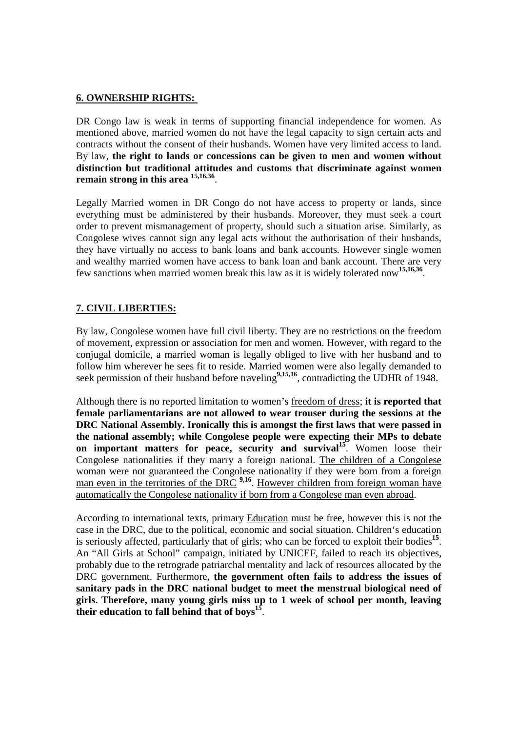## **6. OWNERSHIP RIGHTS:**

DR Congo law is weak in terms of supporting financial independence for women. As mentioned above, married women do not have the legal capacity to sign certain acts and contracts without the consent of their husbands. Women have very limited access to land. By law, **the right to lands or concessions can be given to men and women without distinction but traditional attitudes and customs that discriminate against women remain strong in this area 15,16,36** .

Legally Married women in DR Congo do not have access to property or lands, since everything must be administered by their husbands. Moreover, they must seek a court order to prevent mismanagement of property, should such a situation arise. Similarly, as Congolese wives cannot sign any legal acts without the authorisation of their husbands, they have virtually no access to bank loans and bank accounts. However single women and wealthy married women have access to bank loan and bank account. There are very few sanctions when married women break this law as it is widely tolerated now**15,16,36** .

# **7. CIVIL LIBERTIES:**

By law, Congolese women have full civil liberty. They are no restrictions on the freedom of movement, expression or association for men and women. However, with regard to the conjugal domicile, a married woman is legally obliged to live with her husband and to follow him wherever he sees fit to reside. Married women were also legally demanded to seek permission of their husband before traveling<sup>9,15,16</sup>, contradicting the UDHR of 1948.

Although there is no reported limitation to women's freedom of dress; **it is reported that female parliamentarians are not allowed to wear trouser during the sessions at the DRC National Assembly. Ironically this is amongst the first laws that were passed in the national assembly; while Congolese people were expecting their MPs to debate on important matters for peace, security and survival<sup>15</sup>**. Women loose their Congolese nationalities if they marry a foreign national. The children of a Congolese woman were not guaranteed the Congolese nationality if they were born from a foreign man even in the territories of the DRC <sup>9,16</sup>. However children from foreign woman have automatically the Congolese nationality if born from a Congolese man even abroad.

According to international texts, primary Education must be free, however this is not the case in the DRC, due to the political, economic and social situation. Children's education is seriously affected, particularly that of girls; who can be forced to exploit their bodies**<sup>15</sup>** . An "All Girls at School" campaign, initiated by UNICEF, failed to reach its objectives, probably due to the retrograde patriarchal mentality and lack of resources allocated by the DRC government. Furthermore, **the government often fails to address the issues of sanitary pads in the DRC national budget to meet the menstrual biological need of girls. Therefore, many young girls miss up to 1 week of school per month, leaving their education to fall behind that of boys<sup>15</sup>** .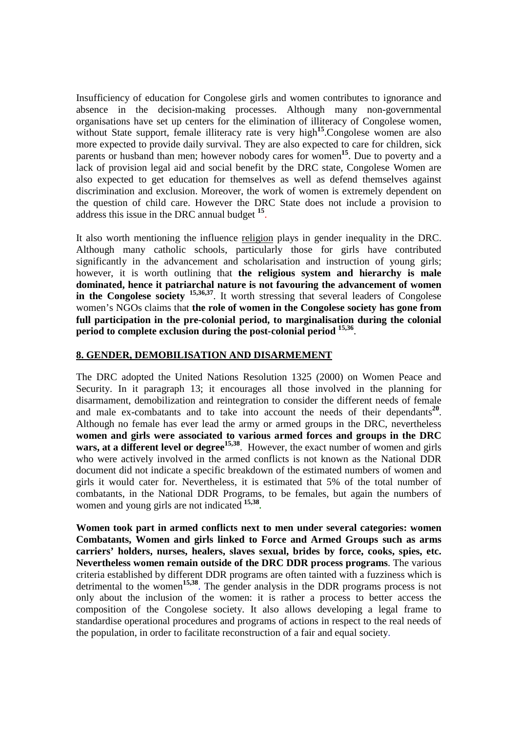Insufficiency of education for Congolese girls and women contributes to ignorance and absence in the decision-making processes. Although many non-governmental organisations have set up centers for the elimination of illiteracy of Congolese women, without State support, female illiteracy rate is very high<sup>15</sup>. Congolese women are also more expected to provide daily survival. They are also expected to care for children, sick parents or husband than men; however nobody cares for women**<sup>15</sup>**. Due to poverty and a lack of provision legal aid and social benefit by the DRC state, Congolese Women are also expected to get education for themselves as well as defend themselves against discrimination and exclusion. Moreover, the work of women is extremely dependent on the question of child care. However the DRC State does not include a provision to address this issue in the DRC annual budget **<sup>15</sup>** .

It also worth mentioning the influence religion plays in gender inequality in the DRC. Although many catholic schools, particularly those for girls have contributed significantly in the advancement and scholarisation and instruction of young girls; however, it is worth outlining that **the religious system and hierarchy is male dominated, hence it patriarchal nature is not favouring the advancement of women in the Congolese society** <sup>15,36,37</sup>. It worth stressing that several leaders of Congolese women's NGOs claims that **the role of women in the Congolese society has gone from full participation in the pre-colonial period, to marginalisation during the colonial period to complete exclusion during the post-colonial period 15,36** .

## **8. GENDER, DEMOBILISATION AND DISARMEMENT**

The DRC adopted the United Nations Resolution 1325 (2000) on Women Peace and Security. In it paragraph 13; it encourages all those involved in the planning for disarmament, demobilization and reintegration to consider the different needs of female and male ex-combatants and to take into account the needs of their dependants<sup>20</sup>. Although no female has ever lead the army or armed groups in the DRC, nevertheless **women and girls were associated to various armed forces and groups in the DRC**  wars, at a different level or degree<sup>15,38</sup>. However, the exact number of women and girls who were actively involved in the armed conflicts is not known as the National DDR document did not indicate a specific breakdown of the estimated numbers of women and girls it would cater for. Nevertheless, it is estimated that 5% of the total number of combatants, in the National DDR Programs, to be females, but again the numbers of women and young girls are not indicated **15,38 .** 

**Women took part in armed conflicts next to men under several categories: women Combatants, Women and girls linked to Force and Armed Groups such as arms carriers' holders, nurses, healers, slaves sexual, brides by force, cooks, spies, etc. Nevertheless women remain outside of the DRC DDR process programs**. The various criteria established by different DDR programs are often tainted with a fuzziness which is detrimental to the women**15,38** . The gender analysis in the DDR programs process is not only about the inclusion of the women: it is rather a process to better access the composition of the Congolese society. It also allows developing a legal frame to standardise operational procedures and programs of actions in respect to the real needs of the population, in order to facilitate reconstruction of a fair and equal society.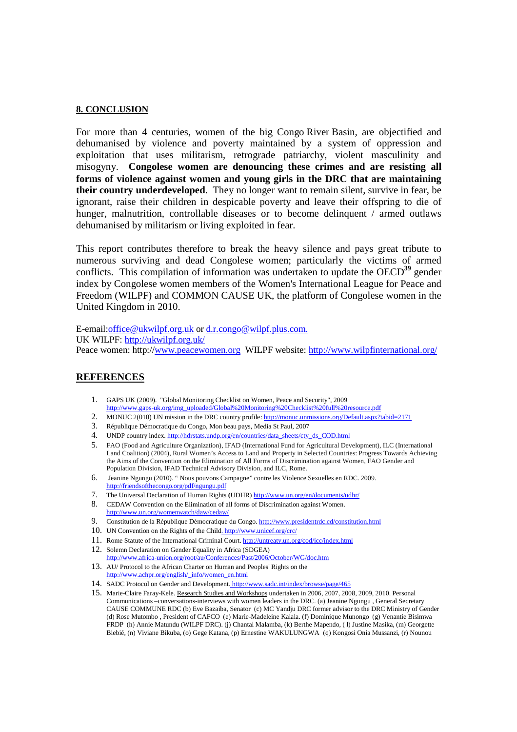#### **8. CONCLUSION**

For more than 4 centuries, women of the big Congo River Basin*,* are objectified and dehumanised by violence and poverty maintained by a system of oppression and exploitation that uses militarism, retrograde patriarchy, violent masculinity and misogyny. **Congolese women are denouncing these crimes and are resisting all forms of violence against women and young girls in the DRC that are maintaining their country underdeveloped**. They no longer want to remain silent, survive in fear, be ignorant, raise their children in despicable poverty and leave their offspring to die of hunger, malnutrition, controllable diseases or to become delinquent / armed outlaws dehumanised by militarism or living exploited in fear.

This report contributes therefore to break the heavy silence and pays great tribute to numerous surviving and dead Congolese women; particularly the victims of armed conflicts. This compilation of information was undertaken to update the OECD<sup>39</sup> gender index by Congolese women members of the Women's International League for Peace and Freedom (WILPF) and COMMON CAUSE UK, the platform of Congolese women in the United Kingdom in 2010.

E-email:office@ukwilpf.org.uk or d.r.congo@wilpf.plus.com. UK WILPF: http://ukwilpf.org.uk/ Peace women: http://www.peacewomen.org WILPF website: http://www.wilpfinternational.org/

#### **REFERENCES**

- 1. GAPS UK (2009). "Global Monitoring Checklist on Women, Peace and Security", 2009 http://www.gaps-uk.org/img\_uploaded/Global%20Monitoring%20Checklist%20full%20resource.pdf
- 2. MONUC 2(010) UN mission in the DRC country profile: http://monuc.unmissions.org/Default.aspx?tabid=2171
- 3. République Démocratique du Congo, Mon beau pays, Media St Paul, 2007
- 4. UNDP country index. http://hdrstats.undp.org/en/countries/data\_sheets/cty\_ds\_COD.html
- 5. FAO (Food and Agriculture Organization), IFAD (International Fund for Agricultural Development), ILC (International Land Coalition) (2004), Rural Women's Access to Land and Property in Selected Countries: Progress Towards Achieving the Aims of the Convention on the Elimination of All Forms of Discrimination against Women, FAO Gender and Population Division, IFAD Technical Advisory Division, and ILC, Rome.
- 6. Jeanine Ngungu (2010). " Nous pouvons Campagne" contre les Violence Sexuelles en RDC. 2009. http://friendsofthecongo.org/pdf/ngungu.pdf
- 7. The Universal Declaration of Human Rights **(**UDHR) http://www.un.org/en/documents/udhr/
- 8. CEDAW Convention on the Elimination of all forms of Discrimination against Women. http://www.un.org/womenwatch/daw/cedaw/
- 9. Constitution de la République Démocratique du Congo. http://www.presidentrdc.cd/constitution.html
- 10. UN Convention on the Rights of the Child. http://www.unicef.org/crc/
- 11. Rome Statute of the International Criminal Court. http://untreaty.un.org/cod/icc/index.html
- 12. Solemn Declaration on Gender Equality in Africa (SDGEA) http://www.africa-union.org/root/au/Conferences/Past/2006/October/WG/doc.htm
- 13. AU/ Protocol to the African Charter on Human and Peoples' Rights on the http://www.achpr.org/english/\_info/women\_en.html
- 14. SADC Protocol on Gender and Development. http://www.sadc.int/index/browse/page/465
- 15. Marie-Claire Faray-Kele. Research Studies and Workshops undertaken in 2006, 2007, 2008, 2009, 2010. Personal Communications –conversations-interviews with women leaders in the DRC. (a) Jeanine Ngungu , General Secretary CAUSE COMMUNE RDC (b) Eve Bazaiba, Senator (c) MC Yandju DRC former advisor to the DRC Ministry of Gender (d) Rose Mutombo , President of CAFCO (e) Marie-Madeleine Kalala. (f) Dominique Munongo (g) Venantie Bisimwa FRDP (h) Annie Matundu (WILPF DRC). (j) Chantal Malamba, (k) Berthe Mapendo, ( l) Justine Masika, (m) Georgette Biebié, (n) Viviane Bikuba, (o) Gege Katana, (p) Ernestine WAKULUNGWA (q) Kongosi Onia Mussanzi, (r) Nounou